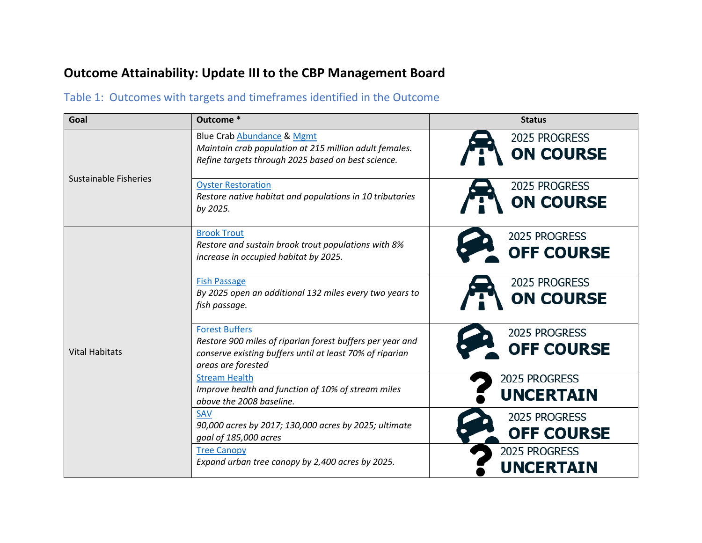## **Outcome Attainability: Update III to the CBP Management Board**

## Table 1: Outcomes with targets and timeframes identified in the Outcome

| Goal                         | Outcome *                                                                                                                                                            | <b>Status</b>                      |
|------------------------------|----------------------------------------------------------------------------------------------------------------------------------------------------------------------|------------------------------------|
| <b>Sustainable Fisheries</b> | <b>Blue Crab Abundance &amp; Mgmt</b><br>Maintain crab population at 215 million adult females.<br>Refine targets through 2025 based on best science.                | 2025 PROGRESS<br><b>ON COURSE</b>  |
|                              | <b>Oyster Restoration</b><br>Restore native habitat and populations in 10 tributaries<br>by 2025.                                                                    | 2025 PROGRESS<br><b>ON COURSE</b>  |
| <b>Vital Habitats</b>        | <b>Brook Trout</b><br>Restore and sustain brook trout populations with 8%<br>increase in occupied habitat by 2025.                                                   | 2025 PROGRESS<br><b>OFF COURSE</b> |
|                              | <b>Fish Passage</b><br>By 2025 open an additional 132 miles every two years to<br>fish passage.                                                                      | 2025 PROGRESS<br><b>ON COURSE</b>  |
|                              | <b>Forest Buffers</b><br>Restore 900 miles of riparian forest buffers per year and<br>conserve existing buffers until at least 70% of riparian<br>areas are forested | 2025 PROGRESS<br><b>OFF COURSE</b> |
|                              | <b>Stream Health</b><br>Improve health and function of 10% of stream miles<br>above the 2008 baseline.                                                               | 2025 PROGRESS<br><b>UNCERTAIN</b>  |
|                              | SAV<br>90,000 acres by 2017; 130,000 acres by 2025; ultimate<br>goal of 185,000 acres                                                                                | 2025 PROGRESS<br><b>OFF COURSE</b> |
|                              | <b>Tree Canopy</b><br>Expand urban tree canopy by 2,400 acres by 2025.                                                                                               | 2025 PROGRESS<br><b>UNCERTAIN</b>  |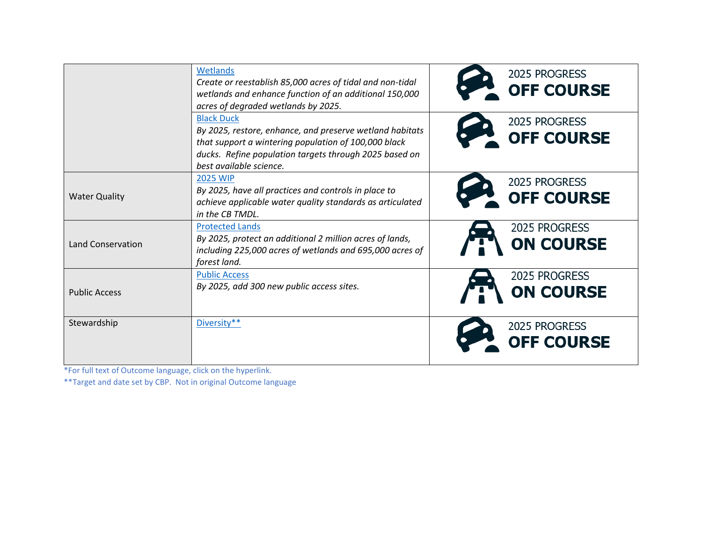|                          | Wetlands<br>Create or reestablish 85,000 acres of tidal and non-tidal<br>wetlands and enhance function of an additional 150,000<br>acres of degraded wetlands by 2025.                                                     | 2025 PROGRESS<br><b>OFF COURSE</b> |
|--------------------------|----------------------------------------------------------------------------------------------------------------------------------------------------------------------------------------------------------------------------|------------------------------------|
|                          | <b>Black Duck</b><br>By 2025, restore, enhance, and preserve wetland habitats<br>that support a wintering population of 100,000 black<br>ducks. Refine population targets through 2025 based on<br>best available science. | 2025 PROGRESS<br><b>OFF COURSE</b> |
| <b>Water Quality</b>     | <b>2025 WIP</b><br>By 2025, have all practices and controls in place to<br>achieve applicable water quality standards as articulated<br>in the CB TMDL.                                                                    | 2025 PROGRESS<br><b>OFF COURSE</b> |
| <b>Land Conservation</b> | <b>Protected Lands</b><br>By 2025, protect an additional 2 million acres of lands,<br>including 225,000 acres of wetlands and 695,000 acres of<br>forest land.                                                             | 2025 PROGRESS<br><b>ON COURSE</b>  |
| <b>Public Access</b>     | <b>Public Access</b><br>By 2025, add 300 new public access sites.                                                                                                                                                          | 2025 PROGRESS<br><b>ON COURSE</b>  |
| Stewardship              | Diversity**                                                                                                                                                                                                                | 2025 PROGRESS<br><b>OFF COURSE</b> |

\*For full text of Outcome language, click on the hyperlink.

\*\*Target and date set by CBP. Not in original Outcome language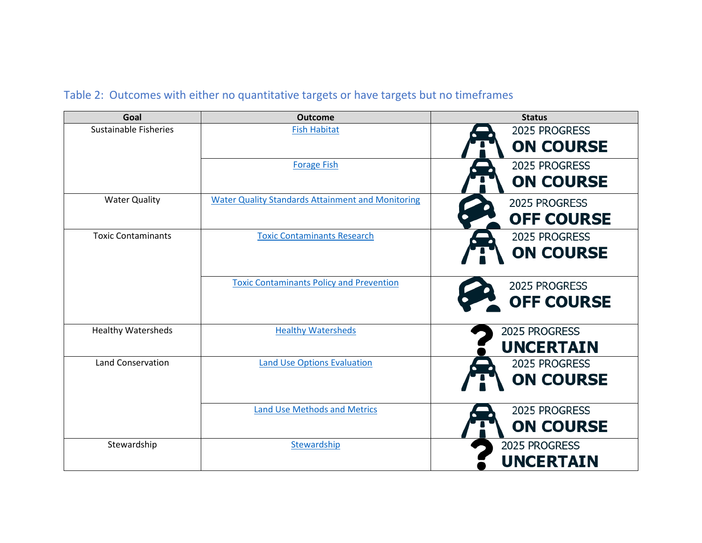## Table 2: Outcomes with either no quantitative targets or have targets but no timeframes

| Goal                      | <b>Outcome</b>                                           | <b>Status</b>     |
|---------------------------|----------------------------------------------------------|-------------------|
| Sustainable Fisheries     | <b>Fish Habitat</b>                                      | 2025 PROGRESS     |
|                           |                                                          | <b>ON COURSE</b>  |
|                           | <b>Forage Fish</b>                                       | 2025 PROGRESS     |
|                           |                                                          | <b>ON COURSE</b>  |
| <b>Water Quality</b>      | <b>Water Quality Standards Attainment and Monitoring</b> | 2025 PROGRESS     |
|                           |                                                          | <b>OFF COURSE</b> |
| <b>Toxic Contaminants</b> | <b>Toxic Contaminants Research</b>                       | 2025 PROGRESS     |
|                           |                                                          | <b>ON COURSE</b>  |
|                           | <b>Toxic Contaminants Policy and Prevention</b>          | 2025 PROGRESS     |
|                           |                                                          | <b>OFF COURSE</b> |
|                           |                                                          |                   |
| <b>Healthy Watersheds</b> | <b>Healthy Watersheds</b>                                | 2025 PROGRESS     |
|                           |                                                          | <b>UNCERTAIN</b>  |
| <b>Land Conservation</b>  | <b>Land Use Options Evaluation</b>                       | 2025 PROGRESS     |
|                           |                                                          | <b>ON COURSE</b>  |
|                           | <b>Land Use Methods and Metrics</b>                      | 2025 PROGRESS     |
|                           |                                                          | <b>ON COURSE</b>  |
| Stewardship               | Stewardship                                              | 2025 PROGRESS     |
|                           |                                                          | <b>UNCERTAIN</b>  |